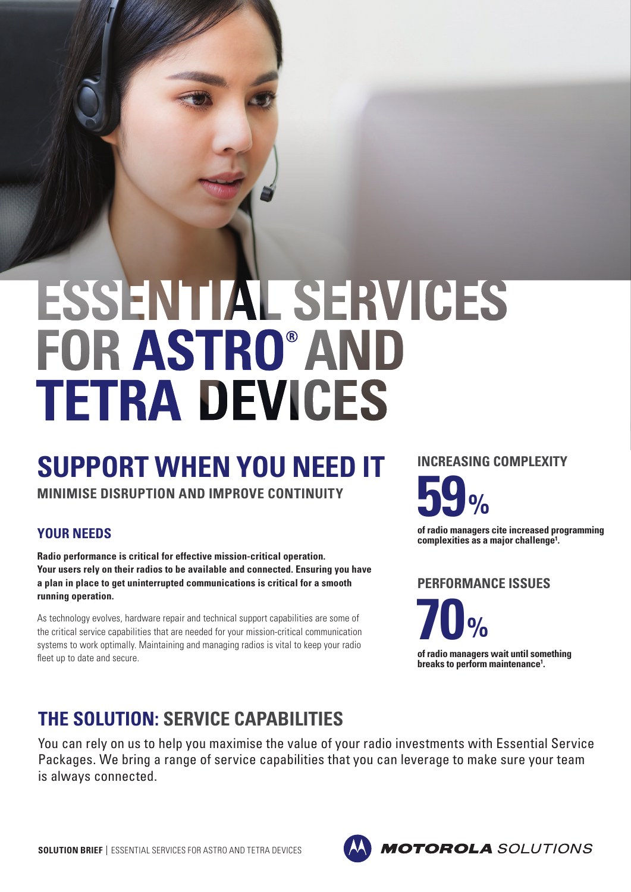# ESSENTIAL SERVICES **FOR ASTRO® AND TETRA DEVICES**

# **SUPPORT WHEN YOU NEED IT**

**MINIMISE DISRUPTION AND IMPROVE CONTINUITY**

#### **YOUR NEEDS**

**Radio performance is critical for effective mission-critical operation. Your users rely on their radios to be available and connected. Ensuring you have a plan in place to get uninterrupted communications is critical for a smooth running operation.**

As technology evolves, hardware repair and technical support capabilities are some of the critical service capabilities that are needed for your mission-critical communication systems to work optimally. Maintaining and managing radios is vital to keep your radio fleet up to date and secure.

**59% INCREASING COMPLEXITY**

**of radio managers cite increased programming complexities as a major challenge1.**

**PERFORMANCE ISSUES**

**70% of radio managers wait until something breaks to perform maintenance1 .**

## **THE SOLUTION: SERVICE CAPABILITIES**

You can rely on us to help you maximise the value of your radio investments with Essential Service Packages. We bring a range of service capabilities that you can leverage to make sure your team is always connected.